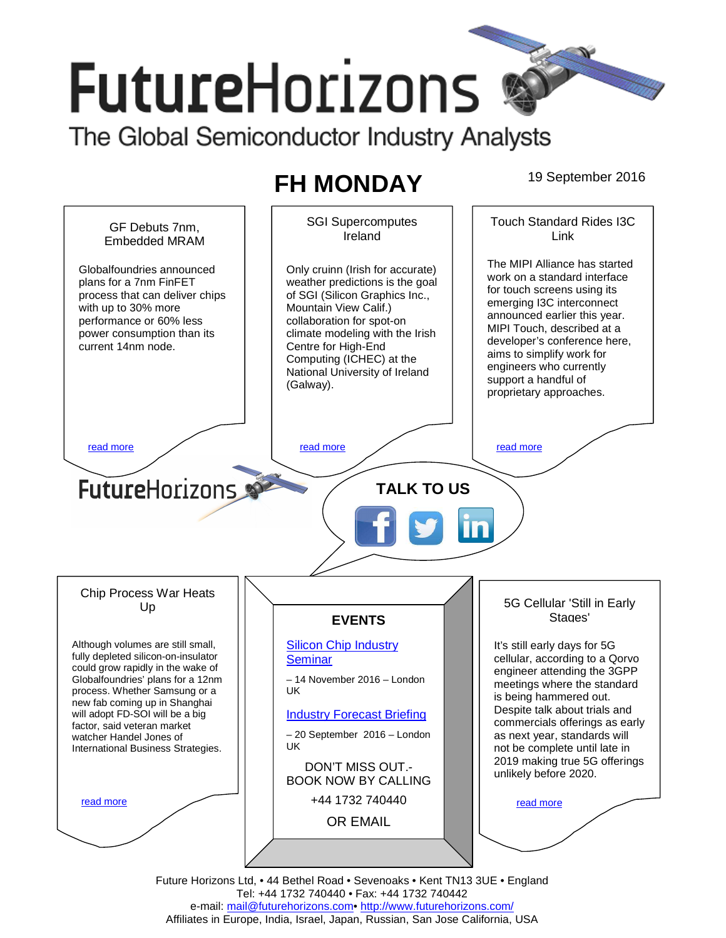# **FutureHorizons** The Global Semiconductor Industry Analysts

## **FH MONDAY** 19 September 2016



Future Horizons Ltd, • 44 Bethel Road • Sevenoaks • Kent TN13 3UE • England Tel: +44 1732 740440 • Fax: +44 1732 740442 e-mail: mail@futurehorizons.com• http://www.futurehorizons.com/ Affiliates in Europe, India, Israel, Japan, Russian, San Jose California, USA